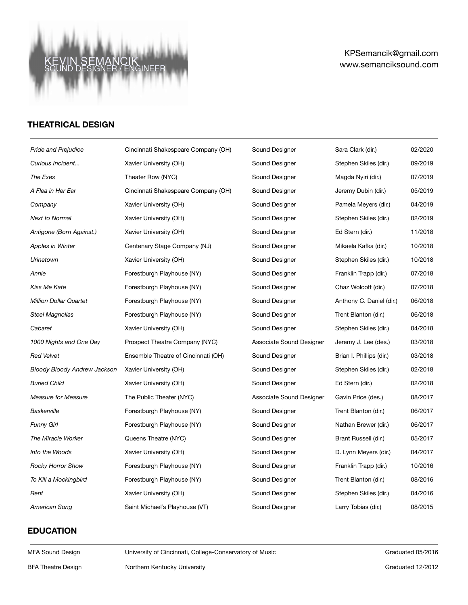#### **KE**<br>SOL ANCIK<br>JER/ENGINEER SEM

# KPSemancik@gmail.com www.semanciksound.com

## **THEATRICAL DESIGN**

| <b>Pride and Prejudice</b>    | Cincinnati Shakespeare Company (OH) | Sound Designer           | Sara Clark (dir.)        | 02/2020 |
|-------------------------------|-------------------------------------|--------------------------|--------------------------|---------|
| Curious Incident              | Xavier University (OH)              | Sound Designer           | Stephen Skiles (dir.)    | 09/2019 |
| The Exes                      | Theater Row (NYC)                   | Sound Designer           | Magda Nyiri (dir.)       | 07/2019 |
| A Flea in Her Ear             | Cincinnati Shakespeare Company (OH) | Sound Designer           | Jeremy Dubin (dir.)      | 05/2019 |
| Company                       | Xavier University (OH)              | Sound Designer           | Pamela Meyers (dir.)     | 04/2019 |
| <b>Next to Normal</b>         | Xavier University (OH)              | Sound Designer           | Stephen Skiles (dir.)    | 02/2019 |
| Antigone (Born Against.)      | Xavier University (OH)              | Sound Designer           | Ed Stern (dir.)          | 11/2018 |
| Apples in Winter              | Centenary Stage Company (NJ)        | Sound Designer           | Mikaela Kafka (dir.)     | 10/2018 |
| Urinetown                     | Xavier University (OH)              | Sound Designer           | Stephen Skiles (dir.)    | 10/2018 |
| Annie                         | Forestburgh Playhouse (NY)          | Sound Designer           | Franklin Trapp (dir.)    | 07/2018 |
| Kiss Me Kate                  | Forestburgh Playhouse (NY)          | Sound Designer           | Chaz Wolcott (dir.)      | 07/2018 |
| <b>Million Dollar Quartet</b> | Forestburgh Playhouse (NY)          | Sound Designer           | Anthony C. Daniel (dir.) | 06/2018 |
| Steel Magnolias               | Forestburgh Playhouse (NY)          | Sound Designer           | Trent Blanton (dir.)     | 06/2018 |
| Cabaret                       | Xavier University (OH)              | Sound Designer           | Stephen Skiles (dir.)    | 04/2018 |
| 1000 Nights and One Day       | Prospect Theatre Company (NYC)      | Associate Sound Designer | Jeremy J. Lee (des.)     | 03/2018 |
| <b>Red Velvet</b>             | Ensemble Theatre of Cincinnati (OH) | Sound Designer           | Brian I. Phillips (dir.) | 03/2018 |
| Bloody Bloody Andrew Jackson  | Xavier University (OH)              | Sound Designer           | Stephen Skiles (dir.)    | 02/2018 |
| <b>Buried Child</b>           | Xavier University (OH)              | Sound Designer           | Ed Stern (dir.)          | 02/2018 |
| <b>Measure for Measure</b>    | The Public Theater (NYC)            | Associate Sound Designer | Gavin Price (des.)       | 08/2017 |
| Baskerville                   | Forestburgh Playhouse (NY)          | Sound Designer           | Trent Blanton (dir.)     | 06/2017 |
| <b>Funny Girl</b>             | Forestburgh Playhouse (NY)          | Sound Designer           | Nathan Brewer (dir.)     | 06/2017 |
| The Miracle Worker            | Queens Theatre (NYC)                | Sound Designer           | Brant Russell (dir.)     | 05/2017 |
| Into the Woods                | Xavier University (OH)              | Sound Designer           | D. Lynn Meyers (dir.)    | 04/2017 |
| <b>Rocky Horror Show</b>      | Forestburgh Playhouse (NY)          | Sound Designer           | Franklin Trapp (dir.)    | 10/2016 |
| To Kill a Mockingbird         | Forestburgh Playhouse (NY)          | Sound Designer           | Trent Blanton (dir.)     | 08/2016 |
| Rent                          | Xavier University (OH)              | Sound Designer           | Stephen Skiles (dir.)    | 04/2016 |
| American Song                 | Saint Michael's Playhouse (VT)      | Sound Designer           | Larry Tobias (dir.)      | 08/2015 |

## **EDUCATION**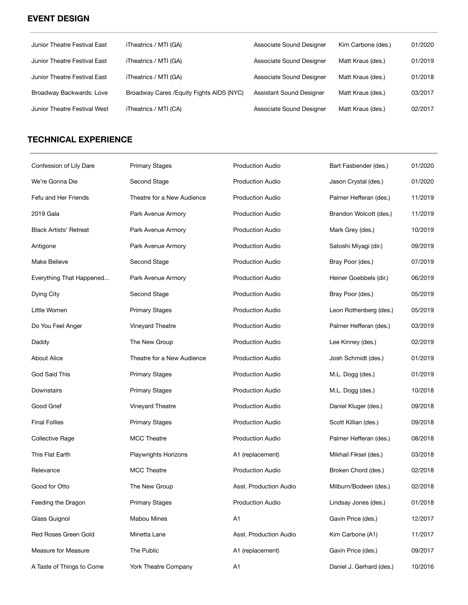## **EVENT DESIGN**

| Junior Theatre Festival East | iTheatrics / MTI (GA)                     | Associate Sound Designer | Kim Carbone (des.) | 01/2020 |
|------------------------------|-------------------------------------------|--------------------------|--------------------|---------|
| Junior Theatre Festival East | iTheatrics / MTI (GA)                     | Associate Sound Designer | Matt Kraus (des.)  | 01/2019 |
| Junior Theatre Festival East | iTheatrics / MTI (GA)                     | Associate Sound Designer | Matt Kraus (des.)  | 01/2018 |
| Broadway Backwards: Love     | Broadway Cares / Equity Fights AIDS (NYC) | Assistant Sound Designer | Matt Kraus (des.)  | 03/2017 |
| Junior Theatre Festival West | iTheatrics / MTI (CA)                     | Associate Sound Designer | Matt Kraus (des.)  | 02/2017 |

# **TECHNICAL EXPERIENCE**

| Confession of Lily Dare       | <b>Primary Stages</b>       | <b>Production Audio</b> | Bart Fasbender (des.)    | 01/2020 |
|-------------------------------|-----------------------------|-------------------------|--------------------------|---------|
| We're Gonna Die               | Second Stage                | <b>Production Audio</b> | Jason Crystal (des.)     | 01/2020 |
| Fefu and Her Friends          | Theatre for a New Audience  | <b>Production Audio</b> | Palmer Hefferan (des.)   | 11/2019 |
| 2019 Gala                     | Park Avenue Armory          | <b>Production Audio</b> | Brandon Wolcott (des.)   | 11/2019 |
| <b>Black Artists' Retreat</b> | Park Avenue Armory          | <b>Production Audio</b> | Mark Grey (des.)         | 10/2019 |
| Antigone                      | Park Avenue Armory          | <b>Production Audio</b> | Satoshi Miyagi (dir.)    | 09/2019 |
| Make Believe                  | Second Stage                | <b>Production Audio</b> | Bray Poor (des.)         | 07/2019 |
| Everything That Happened      | Park Avenue Armory          | <b>Production Audio</b> | Heiner Goebbels (dir.)   | 06/2019 |
| Dying City                    | Second Stage                | <b>Production Audio</b> | Bray Poor (des.)         | 05/2019 |
| Little Women                  | <b>Primary Stages</b>       | <b>Production Audio</b> | Leon Rothenberg (des.)   | 05/2019 |
| Do You Feel Anger             | Vineyard Theatre            | <b>Production Audio</b> | Palmer Hefferan (des.)   | 03/2019 |
| Daddy                         | The New Group               | <b>Production Audio</b> | Lee Kinney (des.)        | 02/2019 |
| <b>About Alice</b>            | Theatre for a New Audience  | <b>Production Audio</b> | Josh Schmidt (des.)      | 01/2019 |
| <b>God Said This</b>          | <b>Primary Stages</b>       | <b>Production Audio</b> | M.L. Dogg (des.)         | 01/2019 |
| Downstairs                    | <b>Primary Stages</b>       | <b>Production Audio</b> | M.L. Dogg (des.)         | 10/2018 |
| Good Grief                    | Vineyard Theatre            | <b>Production Audio</b> | Daniel Kluger (des.)     | 09/2018 |
| <b>Final Follies</b>          | <b>Primary Stages</b>       | <b>Production Audio</b> | Scott Killian (des.)     | 09/2018 |
| <b>Collective Rage</b>        | <b>MCC Theatre</b>          | <b>Production Audio</b> | Palmer Hefferan (des.)   | 08/2018 |
| This Flat Earth               | <b>Playwrights Horizons</b> | A1 (replacement)        | Mikhail Fiksel (des.)    | 03/2018 |
| Relevance                     | <b>MCC Theatre</b>          | <b>Production Audio</b> | Broken Chord (des.)      | 02/2018 |
| Good for Otto                 | The New Group               | Asst. Production Audio  | Milburn/Bodeen (des.)    | 02/2018 |
| Feeding the Dragon            | <b>Primary Stages</b>       | <b>Production Audio</b> | Lindsay Jones (des.)     | 01/2018 |
| Glass Guignol                 | Mabou Mines                 | A <sub>1</sub>          | Gavin Price (des.)       | 12/2017 |
| Red Roses Green Gold          | Minetta Lane                | Asst. Production Audio  | Kim Carbone (A1)         | 11/2017 |
| Measure for Measure           | The Public                  | A1 (replacement)        | Gavin Price (des.)       | 09/2017 |
| A Taste of Things to Come     | York Theatre Company        | A1                      | Daniel J. Gerhard (des.) | 10/2016 |